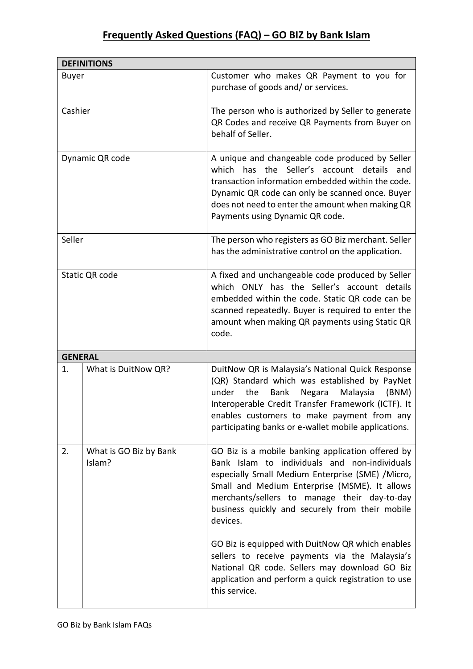## **Frequently Asked Questions (FAQ) – GO BIZ by Bank Islam**

| <b>DEFINITIONS</b> |                                  |                                                                                                                                                                                                                                                                                                                             |  |
|--------------------|----------------------------------|-----------------------------------------------------------------------------------------------------------------------------------------------------------------------------------------------------------------------------------------------------------------------------------------------------------------------------|--|
| <b>Buyer</b>       |                                  | Customer who makes QR Payment to you for<br>purchase of goods and/ or services.                                                                                                                                                                                                                                             |  |
| Cashier            |                                  | The person who is authorized by Seller to generate<br>QR Codes and receive QR Payments from Buyer on<br>behalf of Seller.                                                                                                                                                                                                   |  |
| Dynamic QR code    |                                  | A unique and changeable code produced by Seller<br>which has the Seller's account details<br>and<br>transaction information embedded within the code.<br>Dynamic QR code can only be scanned once. Buyer<br>does not need to enter the amount when making QR<br>Payments using Dynamic QR code.                             |  |
| Seller             |                                  | The person who registers as GO Biz merchant. Seller<br>has the administrative control on the application.                                                                                                                                                                                                                   |  |
| Static QR code     |                                  | A fixed and unchangeable code produced by Seller<br>which ONLY has the Seller's account details<br>embedded within the code. Static QR code can be<br>scanned repeatedly. Buyer is required to enter the<br>amount when making QR payments using Static QR<br>code.                                                         |  |
| <b>GENERAL</b>     |                                  |                                                                                                                                                                                                                                                                                                                             |  |
| 1.                 | What is DuitNow QR?              | DuitNow QR is Malaysia's National Quick Response<br>(QR) Standard which was established by PayNet<br>under<br>the<br><b>Bank</b><br>Malaysia<br>(BNM)<br>Negara<br>Interoperable Credit Transfer Framework (ICTF). It<br>enables customers to make payment from any<br>participating banks or e-wallet mobile applications. |  |
| 2.                 | What is GO Biz by Bank<br>Islam? | GO Biz is a mobile banking application offered by<br>Bank Islam to individuals and non-individuals<br>especially Small Medium Enterprise (SME) /Micro,<br>Small and Medium Enterprise (MSME). It allows<br>merchants/sellers to manage their day-to-day<br>business quickly and securely from their mobile<br>devices.      |  |
|                    |                                  | GO Biz is equipped with DuitNow QR which enables<br>sellers to receive payments via the Malaysia's<br>National QR code. Sellers may download GO Biz<br>application and perform a quick registration to use<br>this service.                                                                                                 |  |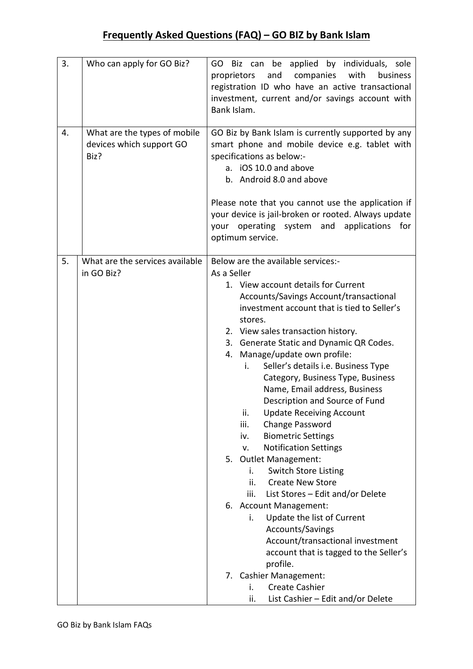| 3. | Who can apply for GO Biz?                                        | GO Biz can be applied by individuals, sole<br>with<br>proprietors<br>and<br>companies<br>business<br>registration ID who have an active transactional<br>investment, current and/or savings account with<br>Bank Islam.                                                                                                                                                                                                                                                                                                                                                                                                                                                                                                                                                                                                                                                                                                                                                                                                                                |
|----|------------------------------------------------------------------|--------------------------------------------------------------------------------------------------------------------------------------------------------------------------------------------------------------------------------------------------------------------------------------------------------------------------------------------------------------------------------------------------------------------------------------------------------------------------------------------------------------------------------------------------------------------------------------------------------------------------------------------------------------------------------------------------------------------------------------------------------------------------------------------------------------------------------------------------------------------------------------------------------------------------------------------------------------------------------------------------------------------------------------------------------|
| 4. | What are the types of mobile<br>devices which support GO<br>Biz? | GO Biz by Bank Islam is currently supported by any<br>smart phone and mobile device e.g. tablet with<br>specifications as below:-<br>a. iOS 10.0 and above<br>b. Android 8.0 and above<br>Please note that you cannot use the application if<br>your device is jail-broken or rooted. Always update<br>your operating system and<br>applications for<br>optimum service.                                                                                                                                                                                                                                                                                                                                                                                                                                                                                                                                                                                                                                                                               |
| 5. | What are the services available<br>in GO Biz?                    | Below are the available services:-<br>As a Seller<br>1. View account details for Current<br>Accounts/Savings Account/transactional<br>investment account that is tied to Seller's<br>stores.<br>2. View sales transaction history.<br>3. Generate Static and Dynamic QR Codes.<br>Manage/update own profile:<br>4.<br>Seller's details i.e. Business Type<br>i.<br>Category, Business Type, Business<br>Name, Email address, Business<br>Description and Source of Fund<br><b>Update Receiving Account</b><br>ii.<br>iii.<br>Change Password<br><b>Biometric Settings</b><br>iv.<br><b>Notification Settings</b><br>v.<br>5.<br>Outlet Management:<br><b>Switch Store Listing</b><br>i.<br><b>Create New Store</b><br>ii.<br>List Stores - Edit and/or Delete<br>iii.<br>6. Account Management:<br>Update the list of Current<br>i.<br>Accounts/Savings<br>Account/transactional investment<br>account that is tagged to the Seller's<br>profile.<br>7. Cashier Management:<br><b>Create Cashier</b><br>i.<br>List Cashier - Edit and/or Delete<br>ii. |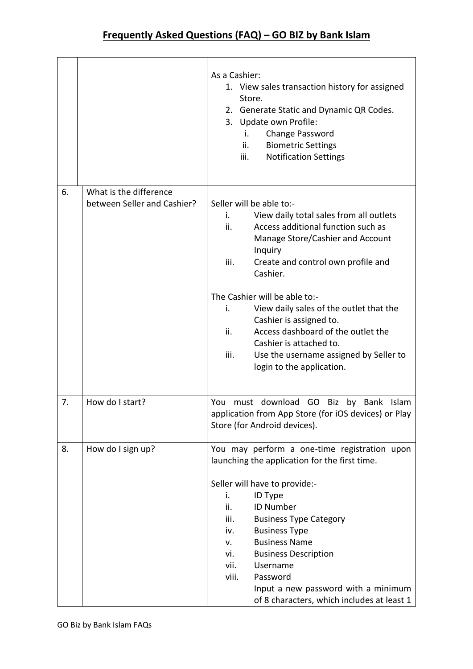|    |                                                       | As a Cashier:<br>1. View sales transaction history for assigned<br>Store.<br>2. Generate Static and Dynamic QR Codes.<br>3. Update own Profile:<br>Change Password<br>i.<br><b>Biometric Settings</b><br>ii.<br><b>Notification Settings</b><br>iii.                                                                                                                                                                                                                                                |
|----|-------------------------------------------------------|-----------------------------------------------------------------------------------------------------------------------------------------------------------------------------------------------------------------------------------------------------------------------------------------------------------------------------------------------------------------------------------------------------------------------------------------------------------------------------------------------------|
| 6. | What is the difference<br>between Seller and Cashier? | Seller will be able to:-<br>View daily total sales from all outlets<br>i.<br>Access additional function such as<br>ii.<br>Manage Store/Cashier and Account<br>Inquiry<br>iii.<br>Create and control own profile and<br>Cashier.<br>The Cashier will be able to:-<br>View daily sales of the outlet that the<br>i.<br>Cashier is assigned to.<br>Access dashboard of the outlet the<br>ii.<br>Cashier is attached to.<br>iii.<br>Use the username assigned by Seller to<br>login to the application. |
| 7. | How do I start?                                       | download GO Biz<br>by<br>Bank<br>You<br>must<br>Islam<br>application from App Store (for iOS devices) or Play<br>Store (for Android devices).                                                                                                                                                                                                                                                                                                                                                       |
| 8. | How do I sign up?                                     | You may perform a one-time registration upon<br>launching the application for the first time.<br>Seller will have to provide:-<br>ID Type<br>i.<br>ii.<br><b>ID Number</b><br>iii.<br><b>Business Type Category</b><br><b>Business Type</b><br>iv.<br><b>Business Name</b><br>v.<br><b>Business Description</b><br>vi.<br>vii.<br>Username<br>viii.<br>Password<br>Input a new password with a minimum<br>of 8 characters, which includes at least 1                                                |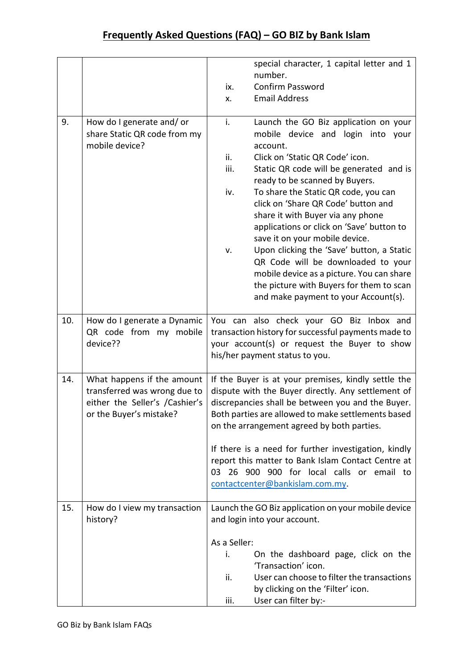|     |                                                                                                                         | special character, 1 capital letter and 1<br>number.<br>Confirm Password<br>ix.<br><b>Email Address</b><br>X.                                                                                                                                                                                                                                                                                                                                                                                                                                                                                                                                                      |
|-----|-------------------------------------------------------------------------------------------------------------------------|--------------------------------------------------------------------------------------------------------------------------------------------------------------------------------------------------------------------------------------------------------------------------------------------------------------------------------------------------------------------------------------------------------------------------------------------------------------------------------------------------------------------------------------------------------------------------------------------------------------------------------------------------------------------|
| 9.  | How do I generate and/or<br>share Static QR code from my<br>mobile device?                                              | i.<br>Launch the GO Biz application on your<br>mobile device and<br>login into your<br>account.<br>ii.<br>Click on 'Static QR Code' icon.<br>iii.<br>Static QR code will be generated and is<br>ready to be scanned by Buyers.<br>iv.<br>To share the Static QR code, you can<br>click on 'Share QR Code' button and<br>share it with Buyer via any phone<br>applications or click on 'Save' button to<br>save it on your mobile device.<br>Upon clicking the 'Save' button, a Static<br>v.<br>QR Code will be downloaded to your<br>mobile device as a picture. You can share<br>the picture with Buyers for them to scan<br>and make payment to your Account(s). |
| 10. | How do I generate a Dynamic<br>QR code from my mobile<br>device??                                                       | You can also check your GO Biz Inbox and<br>transaction history for successful payments made to<br>your account(s) or request the Buyer to show<br>his/her payment status to you.                                                                                                                                                                                                                                                                                                                                                                                                                                                                                  |
| 14. | What happens if the amount<br>transferred was wrong due to<br>either the Seller's /Cashier's<br>or the Buyer's mistake? | If the Buyer is at your premises, kindly settle the<br>dispute with the Buyer directly. Any settlement of<br>discrepancies shall be between you and the Buyer.<br>Both parties are allowed to make settlements based<br>on the arrangement agreed by both parties.<br>If there is a need for further investigation, kindly<br>report this matter to Bank Islam Contact Centre at<br>03 26 900 900 for local calls or email to<br>contactcenter@bankislam.com.my.                                                                                                                                                                                                   |
| 15. | How do I view my transaction<br>history?                                                                                | Launch the GO Biz application on your mobile device<br>and login into your account.<br>As a Seller:<br>i.<br>On the dashboard page, click on the<br>'Transaction' icon.<br>User can choose to filter the transactions<br>ii.<br>by clicking on the 'Filter' icon.<br>User can filter by:-<br>iii.                                                                                                                                                                                                                                                                                                                                                                  |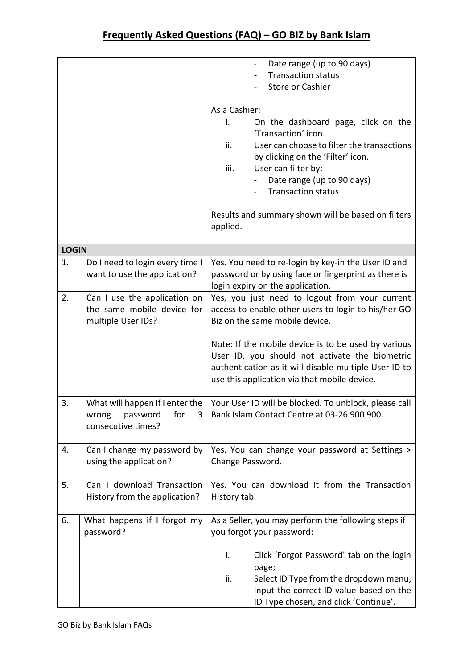|              |                                                                                        | Date range (up to 90 days)<br><b>Transaction status</b><br><b>Store or Cashier</b><br>As a Cashier:<br>On the dashboard page, click on the<br>i.<br>'Transaction' icon.<br>ii.<br>User can choose to filter the transactions<br>by clicking on the 'Filter' icon.<br>iii.<br>User can filter by:-<br>Date range (up to 90 days)<br><b>Transaction status</b><br>Results and summary shown will be based on filters |
|--------------|----------------------------------------------------------------------------------------|--------------------------------------------------------------------------------------------------------------------------------------------------------------------------------------------------------------------------------------------------------------------------------------------------------------------------------------------------------------------------------------------------------------------|
|              |                                                                                        | applied.                                                                                                                                                                                                                                                                                                                                                                                                           |
| <b>LOGIN</b> |                                                                                        |                                                                                                                                                                                                                                                                                                                                                                                                                    |
| 1.           | Do I need to login every time I<br>want to use the application?                        | Yes. You need to re-login by key-in the User ID and<br>password or by using face or fingerprint as there is<br>login expiry on the application.                                                                                                                                                                                                                                                                    |
| 2.           | Can I use the application on<br>the same mobile device for<br>multiple User IDs?       | Yes, you just need to logout from your current<br>access to enable other users to login to his/her GO<br>Biz on the same mobile device.<br>Note: If the mobile device is to be used by various<br>User ID, you should not activate the biometric<br>authentication as it will disable multiple User ID to<br>use this application via that mobile device.                                                          |
| 3.           | What will happen if I enter the<br>wrong<br>password<br>for<br>3<br>consecutive times? | Your User ID will be blocked. To unblock, please call<br>Bank Islam Contact Centre at 03-26 900 900.                                                                                                                                                                                                                                                                                                               |
| 4.           | Can I change my password by<br>using the application?                                  | Yes. You can change your password at Settings ><br>Change Password.                                                                                                                                                                                                                                                                                                                                                |
| 5.           | Can I download Transaction<br>History from the application?                            | Yes. You can download it from the Transaction<br>History tab.                                                                                                                                                                                                                                                                                                                                                      |
| 6.           | What happens if I forgot my<br>password?                                               | As a Seller, you may perform the following steps if<br>you forgot your password:<br>Click 'Forgot Password' tab on the login<br>i.<br>page;<br>ii.<br>Select ID Type from the dropdown menu,<br>input the correct ID value based on the<br>ID Type chosen, and click 'Continue'.                                                                                                                                   |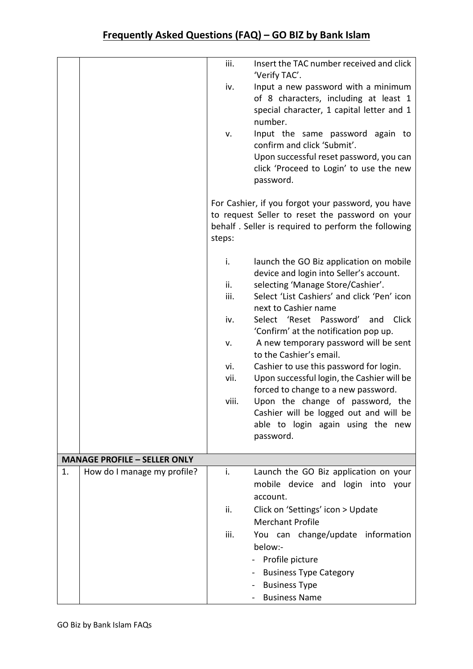|    |                                     | iii.<br>iv.<br>v.                                      | Insert the TAC number received and click<br>'Verify TAC'.<br>Input a new password with a minimum<br>of 8 characters, including at least 1<br>special character, 1 capital letter and 1<br>number.<br>Input the same password again to<br>confirm and click 'Submit'.<br>Upon successful reset password, you can<br>click 'Proceed to Login' to use the new<br>password.<br>For Cashier, if you forgot your password, you have<br>to request Seller to reset the password on your                                                                                                                                          |
|----|-------------------------------------|--------------------------------------------------------|---------------------------------------------------------------------------------------------------------------------------------------------------------------------------------------------------------------------------------------------------------------------------------------------------------------------------------------------------------------------------------------------------------------------------------------------------------------------------------------------------------------------------------------------------------------------------------------------------------------------------|
|    |                                     | steps:                                                 | behalf. Seller is required to perform the following                                                                                                                                                                                                                                                                                                                                                                                                                                                                                                                                                                       |
|    |                                     | i.<br>ii.<br>iii.<br>iv.<br>v.<br>vi.<br>vii.<br>viii. | launch the GO Biz application on mobile<br>device and login into Seller's account.<br>selecting 'Manage Store/Cashier'.<br>Select 'List Cashiers' and click 'Pen' icon<br>next to Cashier name<br>Select 'Reset<br>Password'<br>Click<br>and<br>'Confirm' at the notification pop up.<br>A new temporary password will be sent<br>to the Cashier's email.<br>Cashier to use this password for login.<br>Upon successful login, the Cashier will be<br>forced to change to a new password.<br>Upon the change of password, the<br>Cashier will be logged out and will be<br>able to login again using the new<br>password. |
|    | <b>MANAGE PROFILE - SELLER ONLY</b> |                                                        |                                                                                                                                                                                                                                                                                                                                                                                                                                                                                                                                                                                                                           |
| 1. | How do I manage my profile?         | i.<br>ii.<br>iii.                                      | Launch the GO Biz application on your<br>mobile device and login into your<br>account.<br>Click on 'Settings' icon > Update<br><b>Merchant Profile</b><br>You can change/update information<br>below:-<br>Profile picture<br><b>Business Type Category</b><br><b>Business Type</b><br><b>Business Name</b>                                                                                                                                                                                                                                                                                                                |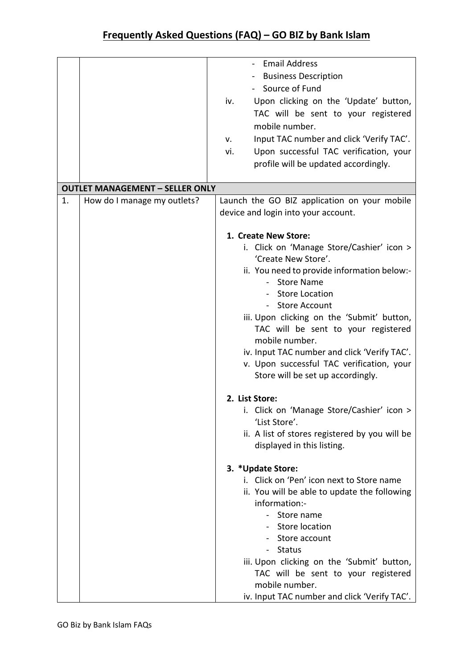|    |                                        | <b>Email Address</b>                            |
|----|----------------------------------------|-------------------------------------------------|
|    |                                        | <b>Business Description</b>                     |
|    |                                        | - Source of Fund                                |
|    |                                        | Upon clicking on the 'Update' button,<br>iv.    |
|    |                                        | TAC will be sent to your registered             |
|    |                                        |                                                 |
|    |                                        | mobile number.                                  |
|    |                                        | Input TAC number and click 'Verify TAC'.<br>v.  |
|    |                                        | Upon successful TAC verification, your<br>vi.   |
|    |                                        | profile will be updated accordingly.            |
|    |                                        |                                                 |
|    | <b>OUTLET MANAGEMENT - SELLER ONLY</b> |                                                 |
| 1. | How do I manage my outlets?            | Launch the GO BIZ application on your mobile    |
|    |                                        | device and login into your account.             |
|    |                                        |                                                 |
|    |                                        | 1. Create New Store:                            |
|    |                                        | i. Click on 'Manage Store/Cashier' icon >       |
|    |                                        | 'Create New Store'.                             |
|    |                                        | ii. You need to provide information below:-     |
|    |                                        | <b>Store Name</b><br>$\mathcal{L}^{\text{max}}$ |
|    |                                        | - Store Location                                |
|    |                                        | <b>Store Account</b><br>$\blacksquare$          |
|    |                                        | iii. Upon clicking on the 'Submit' button,      |
|    |                                        | TAC will be sent to your registered             |
|    |                                        | mobile number.                                  |
|    |                                        | iv. Input TAC number and click 'Verify TAC'.    |
|    |                                        | v. Upon successful TAC verification, your       |
|    |                                        | Store will be set up accordingly.               |
|    |                                        |                                                 |
|    |                                        | 2. List Store:                                  |
|    |                                        | i. Click on 'Manage Store/Cashier' icon >       |
|    |                                        | 'List Store'.                                   |
|    |                                        | ii. A list of stores registered by you will be  |
|    |                                        | displayed in this listing.                      |
|    |                                        |                                                 |
|    |                                        | 3. *Update Store:                               |
|    |                                        | i. Click on 'Pen' icon next to Store name       |
|    |                                        | ii. You will be able to update the following    |
|    |                                        | information:-                                   |
|    |                                        | Store name                                      |
|    |                                        | - Store location                                |
|    |                                        | Store account                                   |
|    |                                        | <b>Status</b>                                   |
|    |                                        | iii. Upon clicking on the 'Submit' button,      |
|    |                                        | TAC will be sent to your registered             |
|    |                                        | mobile number.                                  |
|    |                                        | iv. Input TAC number and click 'Verify TAC'.    |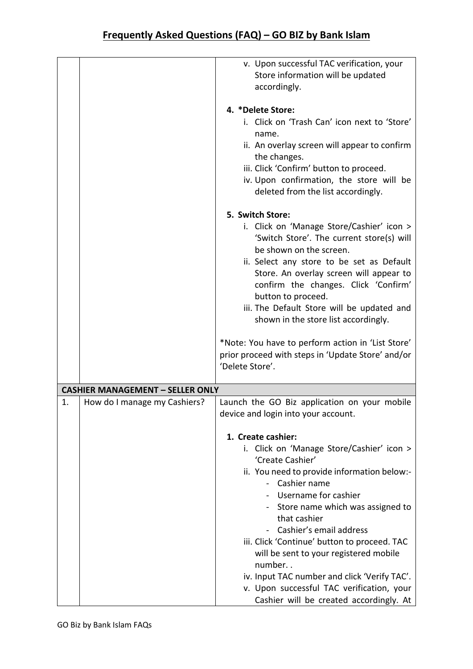|    |                                         | v. Upon successful TAC verification, your         |
|----|-----------------------------------------|---------------------------------------------------|
|    |                                         | Store information will be updated                 |
|    |                                         | accordingly.                                      |
|    |                                         |                                                   |
|    |                                         | 4. *Delete Store:                                 |
|    |                                         | i. Click on 'Trash Can' icon next to 'Store'      |
|    |                                         | name.                                             |
|    |                                         | ii. An overlay screen will appear to confirm      |
|    |                                         | the changes.                                      |
|    |                                         | iii. Click 'Confirm' button to proceed.           |
|    |                                         | iv. Upon confirmation, the store will be          |
|    |                                         | deleted from the list accordingly.                |
|    |                                         |                                                   |
|    |                                         | 5. Switch Store:                                  |
|    |                                         | i. Click on 'Manage Store/Cashier' icon >         |
|    |                                         | 'Switch Store'. The current store(s) will         |
|    |                                         | be shown on the screen.                           |
|    |                                         | ii. Select any store to be set as Default         |
|    |                                         | Store. An overlay screen will appear to           |
|    |                                         | confirm the changes. Click 'Confirm'              |
|    |                                         | button to proceed.                                |
|    |                                         | iii. The Default Store will be updated and        |
|    |                                         | shown in the store list accordingly.              |
|    |                                         |                                                   |
|    |                                         | *Note: You have to perform action in 'List Store' |
|    |                                         | prior proceed with steps in 'Update Store' and/or |
|    |                                         | 'Delete Store'.                                   |
|    |                                         |                                                   |
|    | <b>CASHIER MANAGEMENT - SELLER ONLY</b> |                                                   |
| 1. | How do I manage my Cashiers?            | Launch the GO Biz application on your mobile      |
|    |                                         | device and login into your account.               |
|    |                                         |                                                   |
|    |                                         | 1. Create cashier:                                |
|    |                                         | i. Click on 'Manage Store/Cashier' icon >         |
|    |                                         | 'Create Cashier'                                  |
|    |                                         | ii. You need to provide information below:-       |
|    |                                         | - Cashier name                                    |
|    |                                         | - Username for cashier                            |
|    |                                         |                                                   |
|    |                                         | - Store name which was assigned to                |
|    |                                         | that cashier                                      |
|    |                                         | Cashier's email address                           |
|    |                                         | iii. Click 'Continue' button to proceed. TAC      |
|    |                                         | will be sent to your registered mobile            |
|    |                                         | number                                            |
|    |                                         | iv. Input TAC number and click 'Verify TAC'.      |
|    |                                         | v. Upon successful TAC verification, your         |
|    |                                         | Cashier will be created accordingly. At           |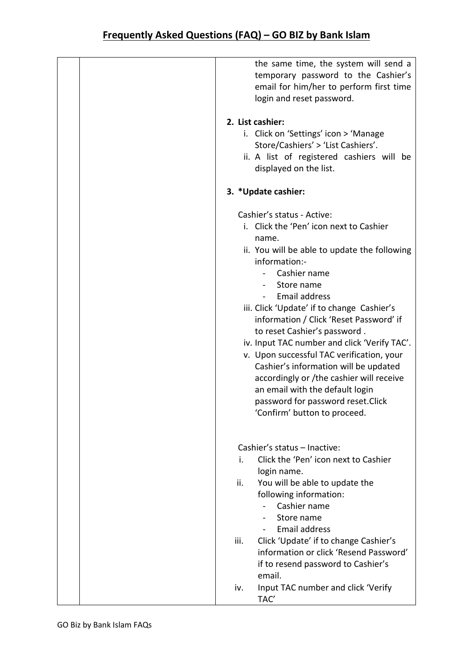| the same time, the system will send a<br>temporary password to the Cashier's<br>email for him/her to perform first time<br>login and reset password. |
|------------------------------------------------------------------------------------------------------------------------------------------------------|
| 2. List cashier:                                                                                                                                     |
| i. Click on 'Settings' icon > 'Manage<br>Store/Cashiers' > 'List Cashiers'.                                                                          |
| ii. A list of registered cashiers will be                                                                                                            |
| displayed on the list.                                                                                                                               |
| 3. *Update cashier:                                                                                                                                  |
| Cashier's status - Active:                                                                                                                           |
| i. Click the 'Pen' icon next to Cashier                                                                                                              |
| name.                                                                                                                                                |
| ii. You will be able to update the following<br>information:-                                                                                        |
| Cashier name                                                                                                                                         |
| Store name                                                                                                                                           |
| <b>Email address</b>                                                                                                                                 |
| iii. Click 'Update' if to change Cashier's                                                                                                           |
| information / Click 'Reset Password' if                                                                                                              |
| to reset Cashier's password.<br>iv. Input TAC number and click 'Verify TAC'.                                                                         |
| v. Upon successful TAC verification, your                                                                                                            |
| Cashier's information will be updated                                                                                                                |
| accordingly or /the cashier will receive                                                                                                             |
| an email with the default login                                                                                                                      |
| password for password reset. Click<br>'Confirm' button to proceed.                                                                                   |
|                                                                                                                                                      |
| Cashier's status - Inactive:                                                                                                                         |
| Click the 'Pen' icon next to Cashier<br>i.<br>login name.                                                                                            |
| ii.<br>You will be able to update the                                                                                                                |
| following information:                                                                                                                               |
| Cashier name                                                                                                                                         |
| Store name                                                                                                                                           |
| <b>Email address</b>                                                                                                                                 |
| iii.<br>Click 'Update' if to change Cashier's<br>information or click 'Resend Password'                                                              |
| if to resend password to Cashier's                                                                                                                   |
| email.                                                                                                                                               |
| Input TAC number and click 'Verify<br>iv.                                                                                                            |
| TAC'                                                                                                                                                 |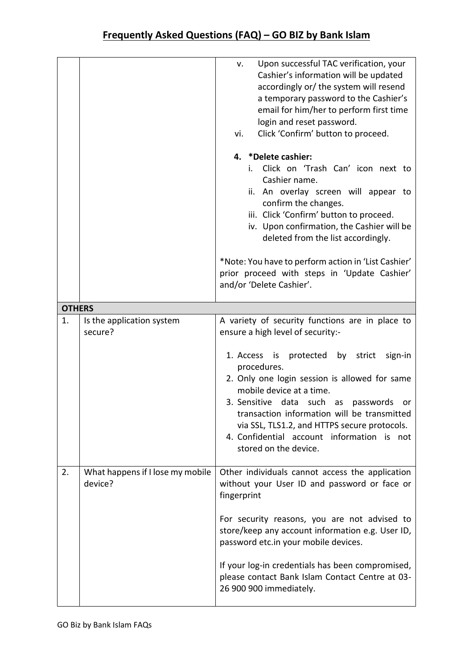|               |                                             | Upon successful TAC verification, your<br>v.<br>Cashier's information will be updated<br>accordingly or/ the system will resend<br>a temporary password to the Cashier's<br>email for him/her to perform first time<br>login and reset password.<br>Click 'Confirm' button to proceed.<br>vi.<br>4. *Delete cashier:<br>Click on 'Trash Can' icon next to<br>i.<br>Cashier name.<br>ii. An overlay screen will appear to<br>confirm the changes.<br>iii. Click 'Confirm' button to proceed.<br>iv. Upon confirmation, the Cashier will be<br>deleted from the list accordingly. |
|---------------|---------------------------------------------|---------------------------------------------------------------------------------------------------------------------------------------------------------------------------------------------------------------------------------------------------------------------------------------------------------------------------------------------------------------------------------------------------------------------------------------------------------------------------------------------------------------------------------------------------------------------------------|
|               |                                             | *Note: You have to perform action in 'List Cashier'<br>prior proceed with steps in 'Update Cashier'<br>and/or 'Delete Cashier'.                                                                                                                                                                                                                                                                                                                                                                                                                                                 |
| <b>OTHERS</b> |                                             |                                                                                                                                                                                                                                                                                                                                                                                                                                                                                                                                                                                 |
| 1.            | Is the application system<br>secure?        | A variety of security functions are in place to<br>ensure a high level of security:-                                                                                                                                                                                                                                                                                                                                                                                                                                                                                            |
|               |                                             | by strict<br>1. Access<br>is protected<br>sign-in<br>procedures.<br>2. Only one login session is allowed for same<br>mobile device at a time.<br>3. Sensitive data such as passwords<br>or<br>transaction information will be transmitted<br>via SSL, TLS1.2, and HTTPS secure protocols.<br>4. Confidential account information is not<br>stored on the device.                                                                                                                                                                                                                |
| 2.            | What happens if I lose my mobile<br>device? | Other individuals cannot access the application<br>without your User ID and password or face or<br>fingerprint                                                                                                                                                                                                                                                                                                                                                                                                                                                                  |
|               |                                             | For security reasons, you are not advised to<br>store/keep any account information e.g. User ID,<br>password etc.in your mobile devices.                                                                                                                                                                                                                                                                                                                                                                                                                                        |
|               |                                             | If your log-in credentials has been compromised,<br>please contact Bank Islam Contact Centre at 03-<br>26 900 900 immediately.                                                                                                                                                                                                                                                                                                                                                                                                                                                  |